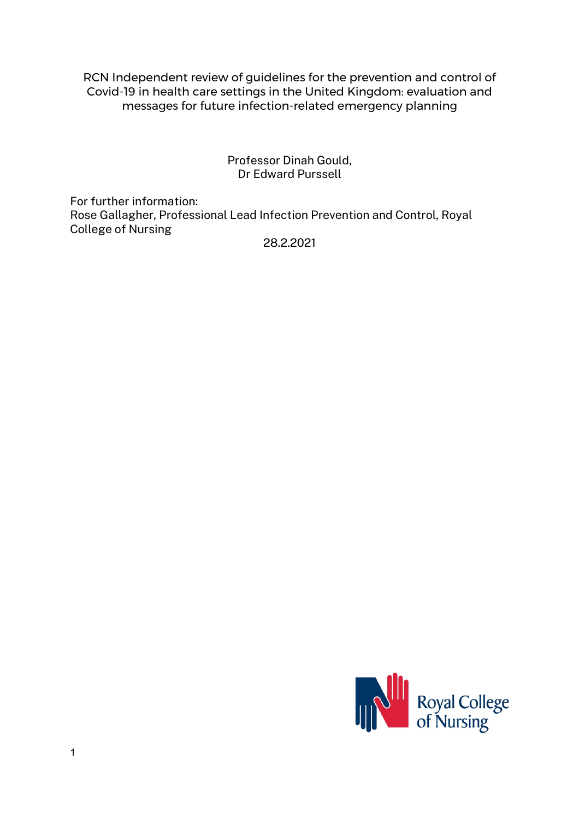RCN Independent review of guidelines for the prevention and control of Covid-19 in health care settings in the United Kingdom: evaluation and messages for future infection-related emergency planning

> Professor Dinah Gould, Dr Edward Purssell

For further information: Rose Gallagher, Professional Lead Infection Prevention and Control, Royal College of Nursing

28.2.2021

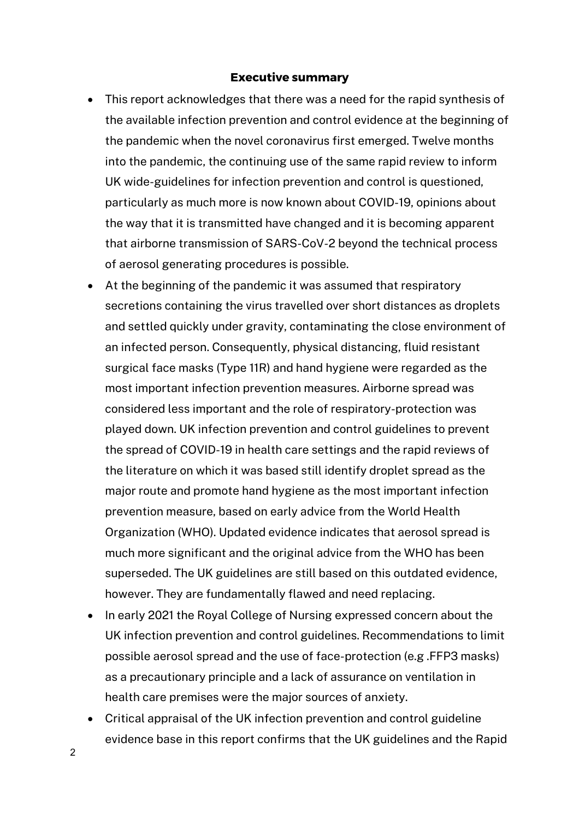### **Executive summary**

- This report acknowledges that there was a need for the rapid synthesis of the available infection prevention and control evidence at the beginning of the pandemic when the novel coronavirus first emerged. Twelve months into the pandemic, the continuing use of the same rapid review to inform UK wide-guidelines for infection prevention and control is questioned, particularly as much more is now known about COVID-19, opinions about the way that it is transmitted have changed and it is becoming apparent that airborne transmission of SARS-CoV-2 beyond the technical process of aerosol generating procedures is possible.
- At the beginning of the pandemic it was assumed that respiratory secretions containing the virus travelled over short distances as droplets and settled quickly under gravity, contaminating the close environment of an infected person. Consequently, physical distancing, fluid resistant surgical face masks (Type 11R) and hand hygiene were regarded as the most important infection prevention measures. Airborne spread was considered less important and the role of respiratory-protection was played down. UK infection prevention and control guidelines to prevent the spread of COVID-19 in health care settings and the rapid reviews of the literature on which it was based still identify droplet spread as the major route and promote hand hygiene as the most important infection prevention measure, based on early advice from the World Health Organization (WHO). Updated evidence indicates that aerosol spread is much more significant and the original advice from the WHO has been superseded. The UK guidelines are still based on this outdated evidence, however. They are fundamentally flawed and need replacing.
- In early 2021 the Royal College of Nursing expressed concern about the UK infection prevention and control guidelines. Recommendations to limit possible aerosol spread and the use of face-protection (e.g .FFP3 masks) as a precautionary principle and a lack of assurance on ventilation in health care premises were the major sources of anxiety.
- Critical appraisal of the UK infection prevention and control guideline evidence base in this report confirms that the UK guidelines and the Rapid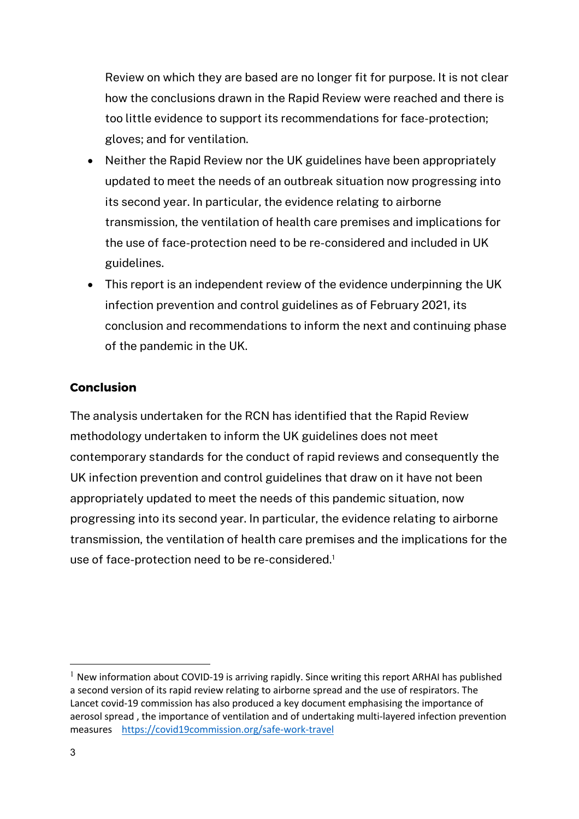Review on which they are based are no longer fit for purpose. It is not clear how the conclusions drawn in the Rapid Review were reached and there is too little evidence to support its recommendations for face-protection; gloves; and for ventilation.

- Neither the Rapid Review nor the UK guidelines have been appropriately updated to meet the needs of an outbreak situation now progressing into its second year. In particular, the evidence relating to airborne transmission, the ventilation of health care premises and implications for the use of face-protection need to be re-considered and included in UK guidelines.
- This report is an independent review of the evidence underpinning the UK infection prevention and control guidelines as of February 2021, its conclusion and recommendations to inform the next and continuing phase of the pandemic in the UK.

### **Conclusion**

The analysis undertaken for the RCN has identified that the Rapid Review methodology undertaken to inform the UK guidelines does not meet contemporary standards for the conduct of rapid reviews and consequently the UK infection prevention and control guidelines that draw on it have not been appropriately updated to meet the needs of this pandemic situation, now progressing into its second year. In particular, the evidence relating to airborne transmission, the ventilation of health care premises and the implications for the use of face-protection need to be re-considered.<sup>1</sup>

 $1$  New information about COVID-19 is arriving rapidly. Since writing this report ARHAI has published a second version of its rapid review relating to airborne spread and the use of respirators. The Lancet covid-19 commission has also produced a key document emphasising the importance of aerosol spread , the importance of ventilation and of undertaking multi-layered infection prevention measures https://covid19commission.org/safe-work-travel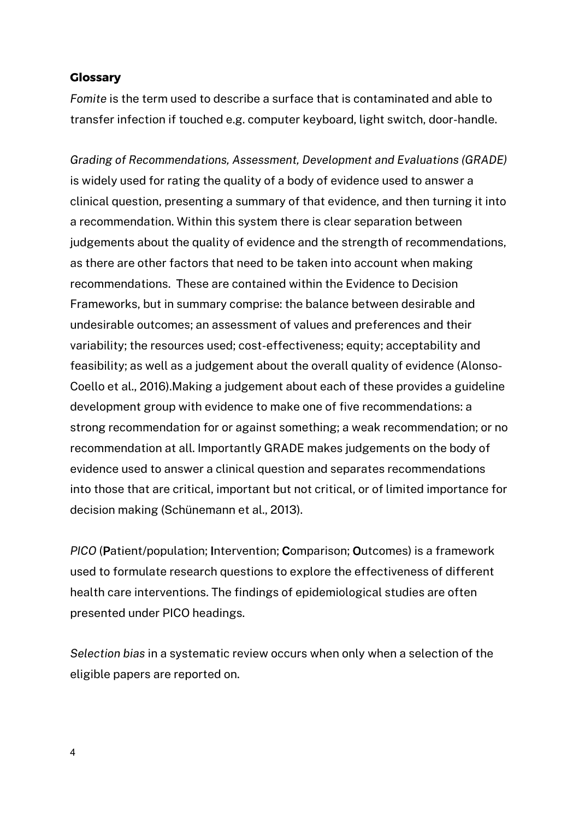### **Glossary**

*Fomite* is the term used to describe a surface that is contaminated and able to transfer infection if touched e.g. computer keyboard, light switch, door-handle.

*Grading of Recommendations, Assessment, Development and Evaluations (GRADE)* is widely used for rating the quality of a body of evidence used to answer a clinical question, presenting a summary of that evidence, and then turning it into a recommendation. Within this system there is clear separation between judgements about the quality of evidence and the strength of recommendations, as there are other factors that need to be taken into account when making recommendations. These are contained within the Evidence to Decision Frameworks, but in summary comprise: the balance between desirable and undesirable outcomes; an assessment of values and preferences and their variability; the resources used; cost-effectiveness; equity; acceptability and feasibility; as well as a judgement about the overall quality of evidence (Alonso-Coello et al., 2016).Making a judgement about each of these provides a guideline development group with evidence to make one of five recommendations: a strong recommendation for or against something; a weak recommendation; or no recommendation at all. Importantly GRADE makes judgements on the body of evidence used to answer a clinical question and separates recommendations into those that are critical, important but not critical, or of limited importance for decision making (Schünemann et al., 2013).

*PICO* (Patient/population; Intervention; Comparison; Outcomes) is a framework used to formulate research questions to explore the effectiveness of different health care interventions. The findings of epidemiological studies are often presented under PICO headings.

*Selection bias* in a systematic review occurs when only when a selection of the eligible papers are reported on.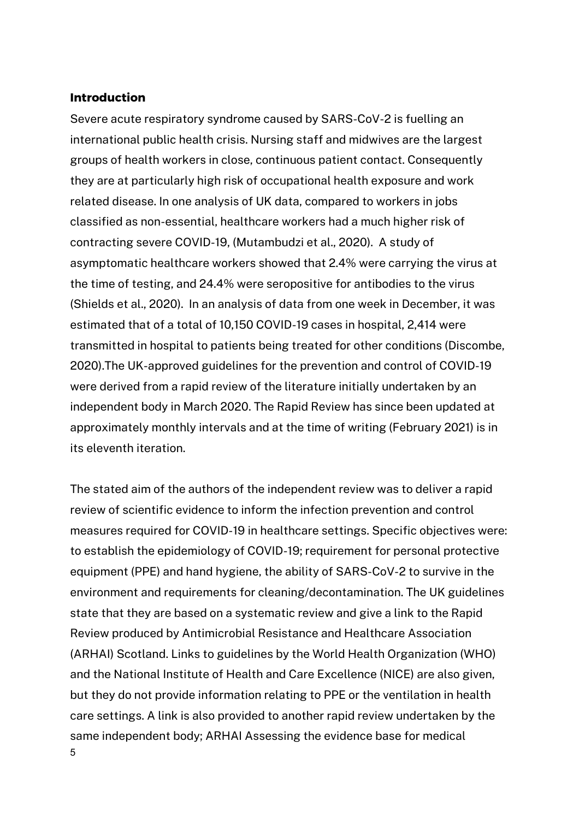### **Introduction**

Severe acute respiratory syndrome caused by SARS-CoV-2 is fuelling an international public health crisis. Nursing staff and midwives are the largest groups of health workers in close, continuous patient contact. Consequently they are at particularly high risk of occupational health exposure and work related disease. In one analysis of UK data, compared to workers in jobs classified as non-essential, healthcare workers had a much higher risk of contracting severe COVID-19, (Mutambudzi et al., 2020). A study of asymptomatic healthcare workers showed that 2.4% were carrying the virus at the time of testing, and 24.4% were seropositive for antibodies to the virus (Shields et al., 2020). In an analysis of data from one week in December, it was estimated that of a total of 10,150 COVID-19 cases in hospital, 2,414 were transmitted in hospital to patients being treated for other conditions (Discombe, 2020).The UK-approved guidelines for the prevention and control of COVID-19 were derived from a rapid review of the literature initially undertaken by an independent body in March 2020. The Rapid Review has since been updated at approximately monthly intervals and at the time of writing (February 2021) is in its eleventh iteration.

5 The stated aim of the authors of the independent review was to deliver a rapid review of scientific evidence to inform the infection prevention and control measures required for COVID-19 in healthcare settings. Specific objectives were: to establish the epidemiology of COVID-19; requirement for personal protective equipment (PPE) and hand hygiene, the ability of SARS-CoV-2 to survive in the environment and requirements for cleaning/decontamination. The UK guidelines state that they are based on a systematic review and give a link to the Rapid Review produced by Antimicrobial Resistance and Healthcare Association (ARHAI) Scotland. Links to guidelines by the World Health Organization (WHO) and the National Institute of Health and Care Excellence (NICE) are also given, but they do not provide information relating to PPE or the ventilation in health care settings. A link is also provided to another rapid review undertaken by the same independent body; ARHAI Assessing the evidence base for medical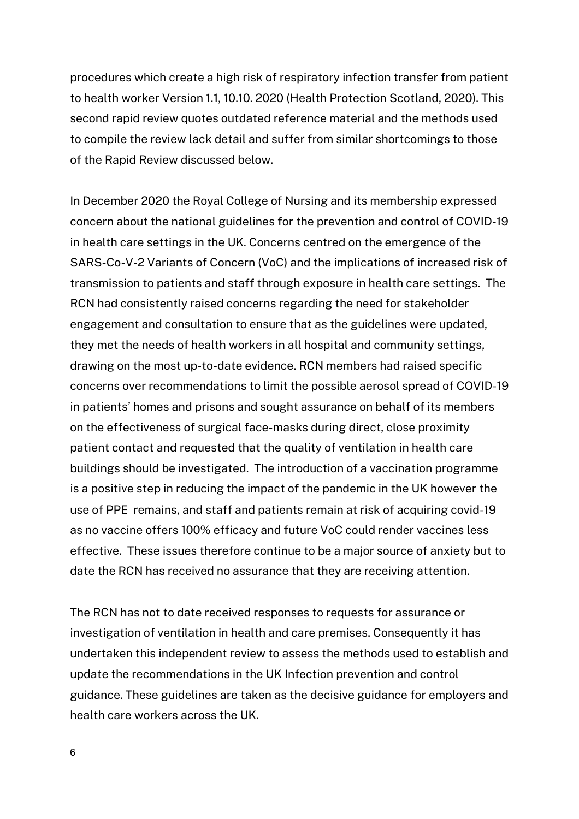procedures which create a high risk of respiratory infection transfer from patient to health worker Version 1.1, 10.10. 2020 (Health Protection Scotland, 2020). This second rapid review quotes outdated reference material and the methods used to compile the review lack detail and suffer from similar shortcomings to those of the Rapid Review discussed below.

In December 2020 the Royal College of Nursing and its membership expressed concern about the national guidelines for the prevention and control of COVID-19 in health care settings in the UK. Concerns centred on the emergence of the SARS-Co-V-2 Variants of Concern (VoC) and the implications of increased risk of transmission to patients and staff through exposure in health care settings. The RCN had consistently raised concerns regarding the need for stakeholder engagement and consultation to ensure that as the guidelines were updated, they met the needs of health workers in all hospital and community settings, drawing on the most up-to-date evidence. RCN members had raised specific concerns over recommendations to limit the possible aerosol spread of COVID-19 in patients' homes and prisons and sought assurance on behalf of its members on the effectiveness of surgical face-masks during direct, close proximity patient contact and requested that the quality of ventilation in health care buildings should be investigated. The introduction of a vaccination programme is a positive step in reducing the impact of the pandemic in the UK however the use of PPE remains, and staff and patients remain at risk of acquiring covid-19 as no vaccine offers 100% efficacy and future VoC could render vaccines less effective. These issues therefore continue to be a major source of anxiety but to date the RCN has received no assurance that they are receiving attention.

The RCN has not to date received responses to requests for assurance or investigation of ventilation in health and care premises. Consequently it has undertaken this independent review to assess the methods used to establish and update the recommendations in the UK Infection prevention and control guidance. These guidelines are taken as the decisive guidance for employers and health care workers across the UK.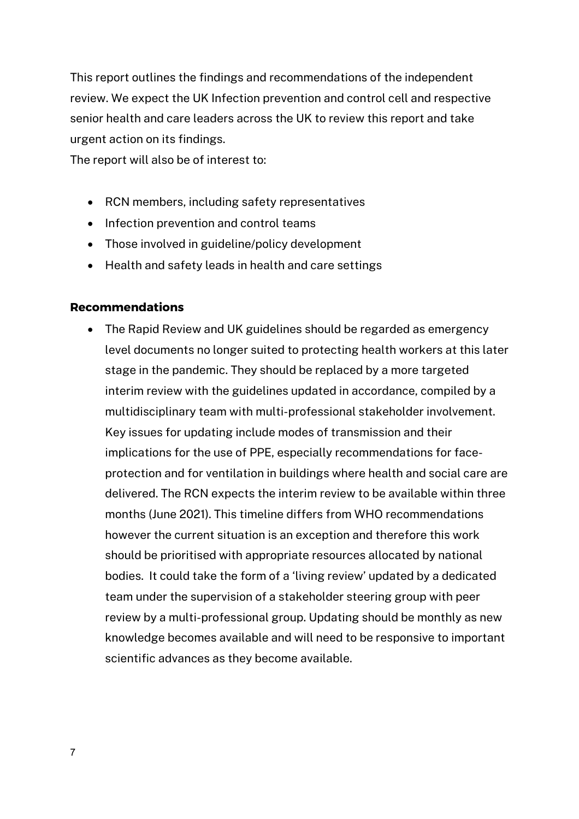This report outlines the findings and recommendations of the independent review. We expect the UK Infection prevention and control cell and respective senior health and care leaders across the UK to review this report and take urgent action on its findings.

The report will also be of interest to:

- RCN members, including safety representatives
- Infection prevention and control teams
- Those involved in guideline/policy development
- Health and safety leads in health and care settings

# **Recommendations**

• The Rapid Review and UK guidelines should be regarded as emergency level documents no longer suited to protecting health workers at this later stage in the pandemic. They should be replaced by a more targeted interim review with the guidelines updated in accordance, compiled by a multidisciplinary team with multi-professional stakeholder involvement. Key issues for updating include modes of transmission and their implications for the use of PPE, especially recommendations for faceprotection and for ventilation in buildings where health and social care are delivered. The RCN expects the interim review to be available within three months (June 2021). This timeline differs from WHO recommendations however the current situation is an exception and therefore this work should be prioritised with appropriate resources allocated by national bodies. It could take the form of a 'living review' updated by a dedicated team under the supervision of a stakeholder steering group with peer review by a multi-professional group. Updating should be monthly as new knowledge becomes available and will need to be responsive to important scientific advances as they become available.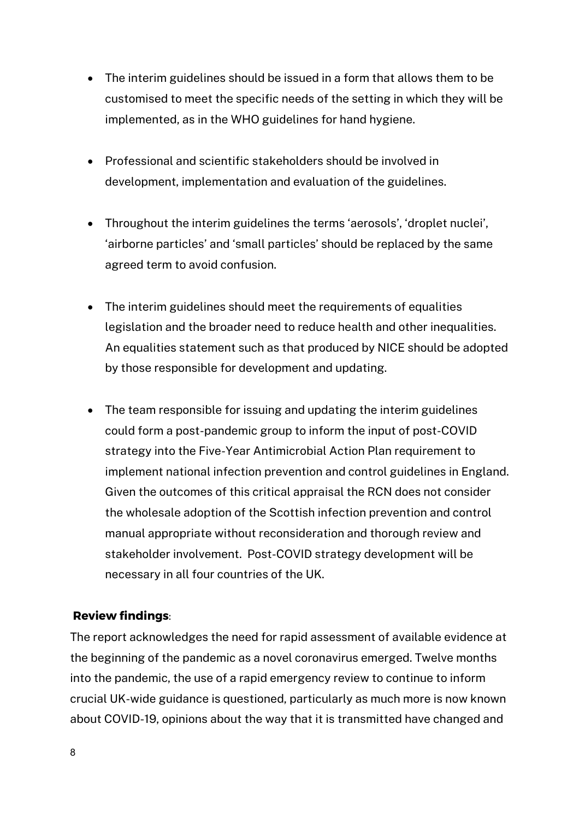- The interim guidelines should be issued in a form that allows them to be customised to meet the specific needs of the setting in which they will be implemented, as in the WHO guidelines for hand hygiene.
- Professional and scientific stakeholders should be involved in development, implementation and evaluation of the guidelines.
- Throughout the interim guidelines the terms 'aerosols', 'droplet nuclei', 'airborne particles' and 'small particles' should be replaced by the same agreed term to avoid confusion.
- The interim guidelines should meet the requirements of equalities legislation and the broader need to reduce health and other inequalities. An equalities statement such as that produced by NICE should be adopted by those responsible for development and updating.
- The team responsible for issuing and updating the interim guidelines could form a post-pandemic group to inform the input of post-COVID strategy into the Five-Year Antimicrobial Action Plan requirement to implement national infection prevention and control guidelines in England. Given the outcomes of this critical appraisal the RCN does not consider the wholesale adoption of the Scottish infection prevention and control manual appropriate without reconsideration and thorough review and stakeholder involvement. Post-COVID strategy development will be necessary in all four countries of the UK.

# **Review findings**:

The report acknowledges the need for rapid assessment of available evidence at the beginning of the pandemic as a novel coronavirus emerged. Twelve months into the pandemic, the use of a rapid emergency review to continue to inform crucial UK-wide guidance is questioned, particularly as much more is now known about COVID-19, opinions about the way that it is transmitted have changed and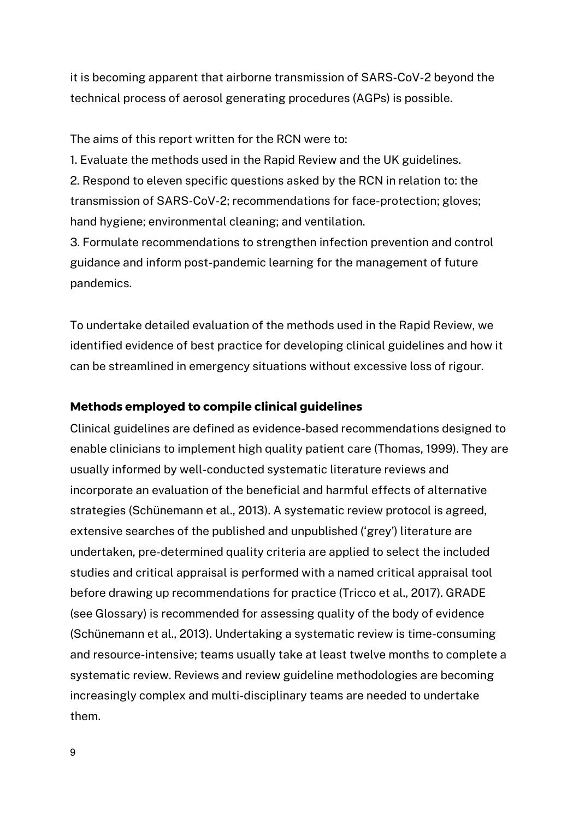it is becoming apparent that airborne transmission of SARS-CoV-2 beyond the technical process of aerosol generating procedures (AGPs) is possible.

The aims of this report written for the RCN were to:

1. Evaluate the methods used in the Rapid Review and the UK guidelines. 2. Respond to eleven specific questions asked by the RCN in relation to: the transmission of SARS-CoV-2; recommendations for face-protection; gloves; hand hygiene; environmental cleaning; and ventilation.

3. Formulate recommendations to strengthen infection prevention and control guidance and inform post-pandemic learning for the management of future pandemics.

To undertake detailed evaluation of the methods used in the Rapid Review, we identified evidence of best practice for developing clinical guidelines and how it can be streamlined in emergency situations without excessive loss of rigour.

# **Methods employed to compile clinical guidelines**

Clinical guidelines are defined as evidence-based recommendations designed to enable clinicians to implement high quality patient care (Thomas, 1999). They are usually informed by well-conducted systematic literature reviews and incorporate an evaluation of the beneficial and harmful effects of alternative strategies (Schünemann et al., 2013). A systematic review protocol is agreed, extensive searches of the published and unpublished ('grey') literature are undertaken, pre-determined quality criteria are applied to select the included studies and critical appraisal is performed with a named critical appraisal tool before drawing up recommendations for practice (Tricco et al., 2017). GRADE (see Glossary) is recommended for assessing quality of the body of evidence (Schünemann et al., 2013). Undertaking a systematic review is time-consuming and resource-intensive; teams usually take at least twelve months to complete a systematic review. Reviews and review guideline methodologies are becoming increasingly complex and multi-disciplinary teams are needed to undertake them.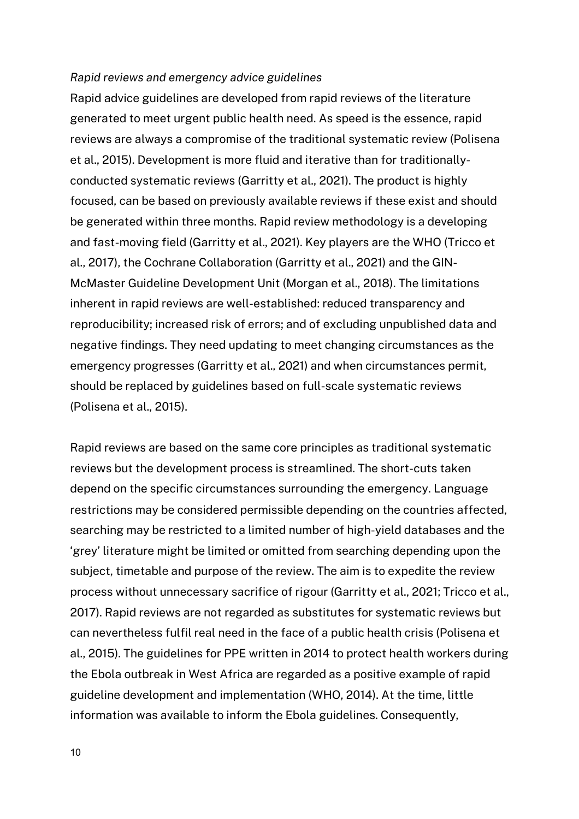#### *Rapid reviews and emergency advice guidelines*

Rapid advice guidelines are developed from rapid reviews of the literature generated to meet urgent public health need. As speed is the essence, rapid reviews are always a compromise of the traditional systematic review (Polisena et al., 2015). Development is more fluid and iterative than for traditionallyconducted systematic reviews (Garritty et al., 2021). The product is highly focused, can be based on previously available reviews if these exist and should be generated within three months. Rapid review methodology is a developing and fast-moving field (Garritty et al., 2021). Key players are the WHO (Tricco et al., 2017), the Cochrane Collaboration (Garritty et al., 2021) and the GIN-McMaster Guideline Development Unit (Morgan et al., 2018). The limitations inherent in rapid reviews are well-established: reduced transparency and reproducibility; increased risk of errors; and of excluding unpublished data and negative findings. They need updating to meet changing circumstances as the emergency progresses (Garritty et al., 2021) and when circumstances permit, should be replaced by guidelines based on full-scale systematic reviews (Polisena et al., 2015).

Rapid reviews are based on the same core principles as traditional systematic reviews but the development process is streamlined. The short-cuts taken depend on the specific circumstances surrounding the emergency. Language restrictions may be considered permissible depending on the countries affected, searching may be restricted to a limited number of high-yield databases and the 'grey' literature might be limited or omitted from searching depending upon the subject, timetable and purpose of the review. The aim is to expedite the review process without unnecessary sacrifice of rigour (Garritty et al., 2021; Tricco et al., 2017). Rapid reviews are not regarded as substitutes for systematic reviews but can nevertheless fulfil real need in the face of a public health crisis (Polisena et al., 2015). The guidelines for PPE written in 2014 to protect health workers during the Ebola outbreak in West Africa are regarded as a positive example of rapid guideline development and implementation (WHO, 2014). At the time, little information was available to inform the Ebola guidelines. Consequently,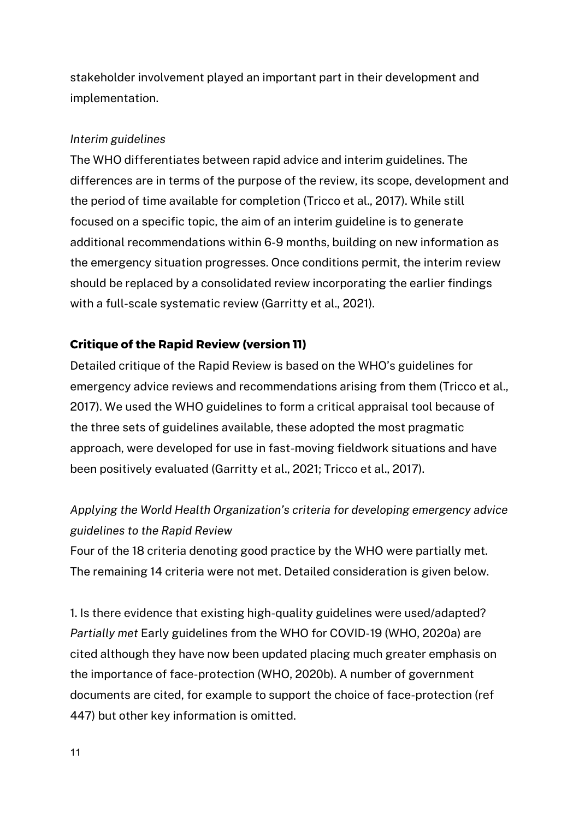stakeholder involvement played an important part in their development and implementation.

# *Interim guidelines*

The WHO differentiates between rapid advice and interim guidelines. The differences are in terms of the purpose of the review, its scope, development and the period of time available for completion (Tricco et al., 2017). While still focused on a specific topic, the aim of an interim guideline is to generate additional recommendations within 6-9 months, building on new information as the emergency situation progresses. Once conditions permit, the interim review should be replaced by a consolidated review incorporating the earlier findings with a full-scale systematic review (Garritty et al., 2021).

# **Critique of the Rapid Review (version 11)**

Detailed critique of the Rapid Review is based on the WHO's guidelines for emergency advice reviews and recommendations arising from them (Tricco et al., 2017). We used the WHO guidelines to form a critical appraisal tool because of the three sets of guidelines available, these adopted the most pragmatic approach, were developed for use in fast-moving fieldwork situations and have been positively evaluated (Garritty et al., 2021; Tricco et al., 2017).

# *Applying the World Health Organization's criteria for developing emergency advice guidelines to the Rapid Review*

Four of the 18 criteria denoting good practice by the WHO were partially met. The remaining 14 criteria were not met. Detailed consideration is given below.

1. Is there evidence that existing high-quality guidelines were used/adapted? *Partially met* Early guidelines from the WHO for COVID-19 (WHO, 2020a) are cited although they have now been updated placing much greater emphasis on the importance of face-protection (WHO, 2020b). A number of government documents are cited, for example to support the choice of face-protection (ref 447) but other key information is omitted.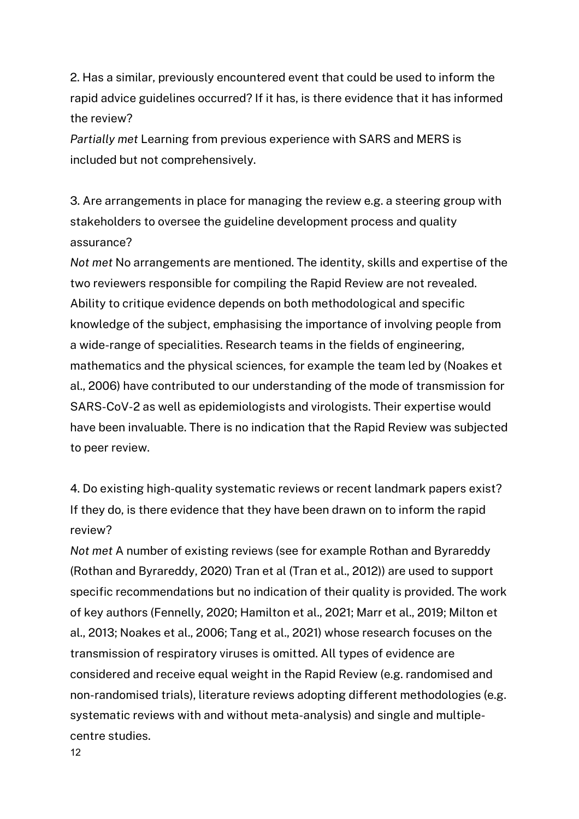2. Has a similar, previously encountered event that could be used to inform the rapid advice guidelines occurred? If it has, is there evidence that it has informed the review?

*Partially met* Learning from previous experience with SARS and MERS is included but not comprehensively.

3. Are arrangements in place for managing the review e.g. a steering group with stakeholders to oversee the guideline development process and quality assurance?

*Not met* No arrangements are mentioned. The identity, skills and expertise of the two reviewers responsible for compiling the Rapid Review are not revealed. Ability to critique evidence depends on both methodological and specific knowledge of the subject, emphasising the importance of involving people from a wide-range of specialities. Research teams in the fields of engineering, mathematics and the physical sciences, for example the team led by (Noakes et al., 2006) have contributed to our understanding of the mode of transmission for SARS-CoV-2 as well as epidemiologists and virologists. Their expertise would have been invaluable. There is no indication that the Rapid Review was subjected to peer review.

4. Do existing high-quality systematic reviews or recent landmark papers exist? If they do, is there evidence that they have been drawn on to inform the rapid review?

*Not met* A number of existing reviews (see for example Rothan and Byrareddy (Rothan and Byrareddy, 2020) Tran et al (Tran et al., 2012)) are used to support specific recommendations but no indication of their quality is provided. The work of key authors (Fennelly, 2020; Hamilton et al., 2021; Marr et al., 2019; Milton et al., 2013; Noakes et al., 2006; Tang et al., 2021) whose research focuses on the transmission of respiratory viruses is omitted. All types of evidence are considered and receive equal weight in the Rapid Review (e.g. randomised and non-randomised trials), literature reviews adopting different methodologies (e.g. systematic reviews with and without meta-analysis) and single and multiplecentre studies.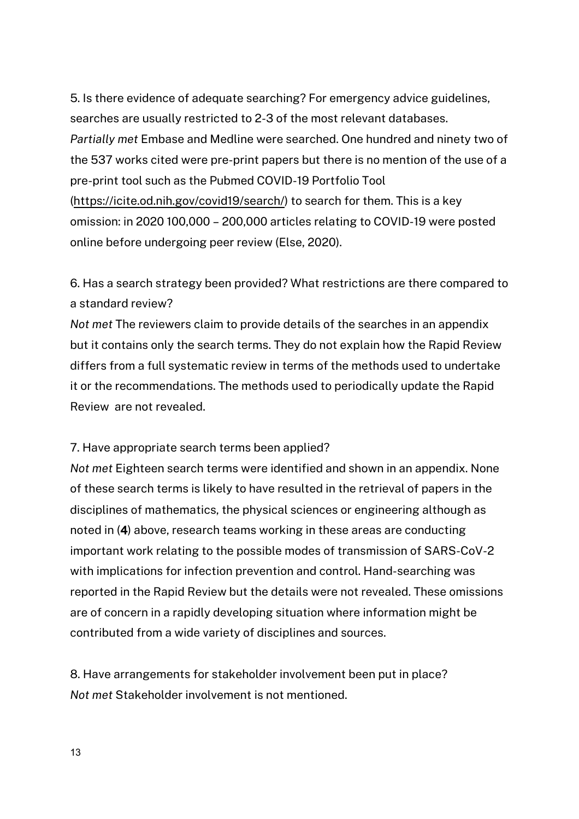5. Is there evidence of adequate searching? For emergency advice guidelines, searches are usually restricted to 2-3 of the most relevant databases. *Partially met* Embase and Medline were searched. One hundred and ninety two of the 537 works cited were pre-print papers but there is no mention of the use of a pre-print tool such as the Pubmed COVID-19 Portfolio Tool (https://icite.od.nih.gov/covid19/search/) to search for them. This is a key omission: in 2020 100,000 – 200,000 articles relating to COVID-19 were posted online before undergoing peer review (Else, 2020).

# 6. Has a search strategy been provided? What restrictions are there compared to a standard review?

*Not met* The reviewers claim to provide details of the searches in an appendix but it contains only the search terms. They do not explain how the Rapid Review differs from a full systematic review in terms of the methods used to undertake it or the recommendations. The methods used to periodically update the Rapid Review are not revealed.

# 7. Have appropriate search terms been applied?

*Not met* Eighteen search terms were identified and shown in an appendix. None of these search terms is likely to have resulted in the retrieval of papers in the disciplines of mathematics, the physical sciences or engineering although as noted in (4) above, research teams working in these areas are conducting important work relating to the possible modes of transmission of SARS-CoV-2 with implications for infection prevention and control. Hand-searching was reported in the Rapid Review but the details were not revealed. These omissions are of concern in a rapidly developing situation where information might be contributed from a wide variety of disciplines and sources.

8. Have arrangements for stakeholder involvement been put in place? *Not met* Stakeholder involvement is not mentioned.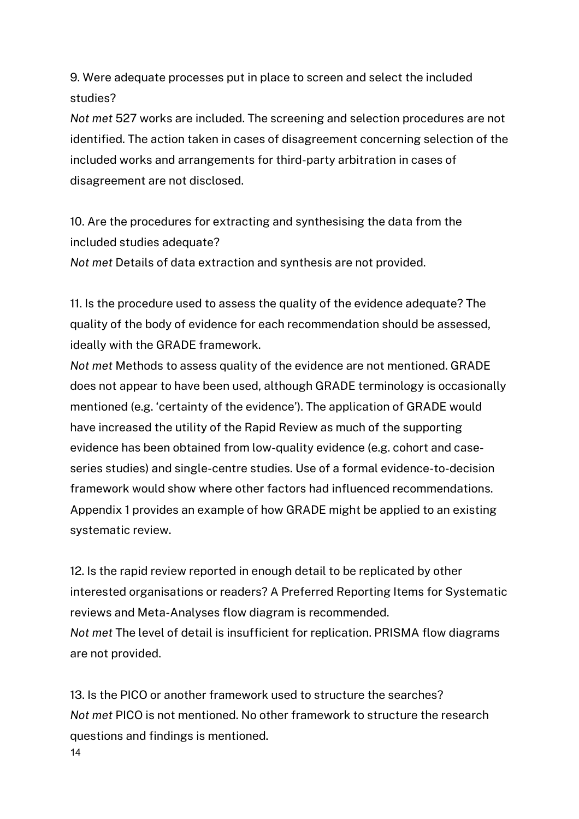9. Were adequate processes put in place to screen and select the included studies?

*Not met* 527 works are included. The screening and selection procedures are not identified. The action taken in cases of disagreement concerning selection of the included works and arrangements for third-party arbitration in cases of disagreement are not disclosed.

10. Are the procedures for extracting and synthesising the data from the included studies adequate?

*Not met* Details of data extraction and synthesis are not provided.

11. Is the procedure used to assess the quality of the evidence adequate? The quality of the body of evidence for each recommendation should be assessed, ideally with the GRADE framework.

*Not met* Methods to assess quality of the evidence are not mentioned. GRADE does not appear to have been used, although GRADE terminology is occasionally mentioned (e.g. 'certainty of the evidence'). The application of GRADE would have increased the utility of the Rapid Review as much of the supporting evidence has been obtained from low-quality evidence (e.g. cohort and caseseries studies) and single-centre studies. Use of a formal evidence-to-decision framework would show where other factors had influenced recommendations. Appendix 1 provides an example of how GRADE might be applied to an existing systematic review.

12. Is the rapid review reported in enough detail to be replicated by other interested organisations or readers? A Preferred Reporting Items for Systematic reviews and Meta-Analyses flow diagram is recommended. *Not met* The level of detail is insufficient for replication. PRISMA flow diagrams are not provided.

14 13. Is the PICO or another framework used to structure the searches? *Not met* PICO is not mentioned. No other framework to structure the research questions and findings is mentioned.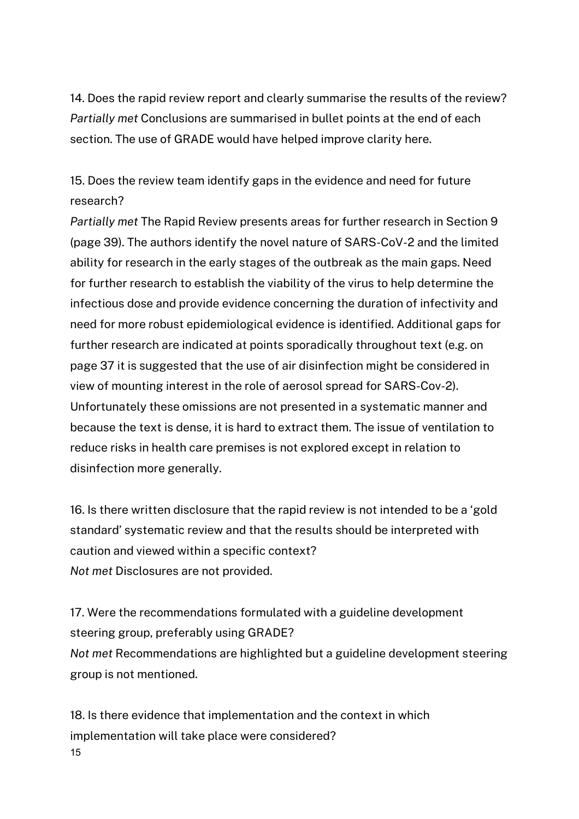14. Does the rapid review report and clearly summarise the results of the review? *Partially met* Conclusions are summarised in bullet points at the end of each section. The use of GRADE would have helped improve clarity here.

15. Does the review team identify gaps in the evidence and need for future research?

*Partially met* The Rapid Review presents areas for further research in Section 9 (page 39). The authors identify the novel nature of SARS-CoV-2 and the limited ability for research in the early stages of the outbreak as the main gaps. Need for further research to establish the viability of the virus to help determine the infectious dose and provide evidence concerning the duration of infectivity and need for more robust epidemiological evidence is identified. Additional gaps for further research are indicated at points sporadically throughout text (e.g. on page 37 it is suggested that the use of air disinfection might be considered in view of mounting interest in the role of aerosol spread for SARS-Cov-2). Unfortunately these omissions are not presented in a systematic manner and because the text is dense, it is hard to extract them. The issue of ventilation to reduce risks in health care premises is not explored except in relation to disinfection more generally.

16. Is there written disclosure that the rapid review is not intended to be a 'gold standard' systematic review and that the results should be interpreted with caution and viewed within a specific context? *Not met* Disclosures are not provided.

17. Were the recommendations formulated with a guideline development steering group, preferably using GRADE? *Not met* Recommendations are highlighted but a guideline development steering group is not mentioned.

15 18. Is there evidence that implementation and the context in which implementation will take place were considered?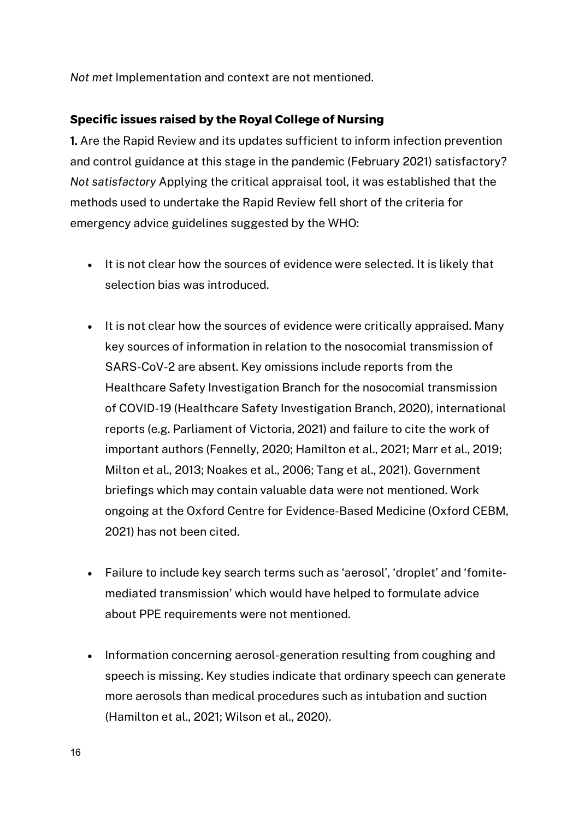*Not met* Implementation and context are not mentioned.

# **Specific issues raised by the Royal College of Nursing**

1. Are the Rapid Review and its updates sufficient to inform infection prevention and control guidance at this stage in the pandemic (February 2021) satisfactory? *Not satisfactory* Applying the critical appraisal tool, it was established that the methods used to undertake the Rapid Review fell short of the criteria for emergency advice guidelines suggested by the WHO:

- It is not clear how the sources of evidence were selected. It is likely that selection bias was introduced.
- It is not clear how the sources of evidence were critically appraised. Many key sources of information in relation to the nosocomial transmission of SARS-CoV-2 are absent. Key omissions include reports from the Healthcare Safety Investigation Branch for the nosocomial transmission of COVID-19 (Healthcare Safety Investigation Branch, 2020), international reports (e.g. Parliament of Victoria, 2021) and failure to cite the work of important authors (Fennelly, 2020; Hamilton et al., 2021; Marr et al., 2019; Milton et al., 2013; Noakes et al., 2006; Tang et al., 2021). Government briefings which may contain valuable data were not mentioned. Work ongoing at the Oxford Centre for Evidence-Based Medicine (Oxford CEBM, 2021) has not been cited.
- Failure to include key search terms such as 'aerosol', 'droplet' and 'fomitemediated transmission' which would have helped to formulate advice about PPE requirements were not mentioned.
- Information concerning aerosol-generation resulting from coughing and speech is missing. Key studies indicate that ordinary speech can generate more aerosols than medical procedures such as intubation and suction (Hamilton et al., 2021; Wilson et al., 2020).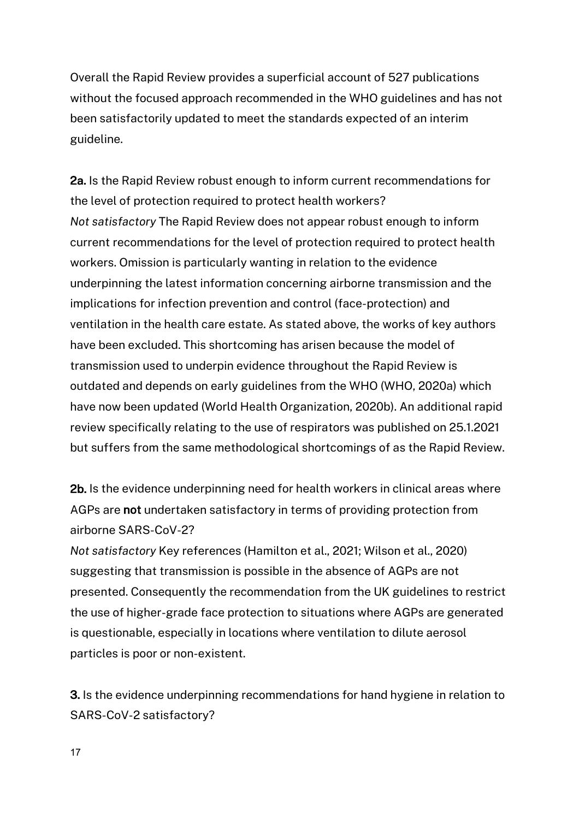Overall the Rapid Review provides a superficial account of 527 publications without the focused approach recommended in the WHO guidelines and has not been satisfactorily updated to meet the standards expected of an interim guideline.

2a. Is the Rapid Review robust enough to inform current recommendations for the level of protection required to protect health workers? *Not satisfactory* The Rapid Review does not appear robust enough to inform current recommendations for the level of protection required to protect health workers. Omission is particularly wanting in relation to the evidence underpinning the latest information concerning airborne transmission and the implications for infection prevention and control (face-protection) and ventilation in the health care estate. As stated above, the works of key authors have been excluded. This shortcoming has arisen because the model of transmission used to underpin evidence throughout the Rapid Review is outdated and depends on early guidelines from the WHO (WHO, 2020a) which have now been updated (World Health Organization, 2020b). An additional rapid review specifically relating to the use of respirators was published on 25.1.2021 but suffers from the same methodological shortcomings of as the Rapid Review.

2b. Is the evidence underpinning need for health workers in clinical areas where AGPs are not undertaken satisfactory in terms of providing protection from airborne SARS-CoV-2?

*Not satisfactory* Key references (Hamilton et al., 2021; Wilson et al., 2020) suggesting that transmission is possible in the absence of AGPs are not presented. Consequently the recommendation from the UK guidelines to restrict the use of higher-grade face protection to situations where AGPs are generated is questionable, especially in locations where ventilation to dilute aerosol particles is poor or non-existent.

3. Is the evidence underpinning recommendations for hand hygiene in relation to SARS-CoV-2 satisfactory?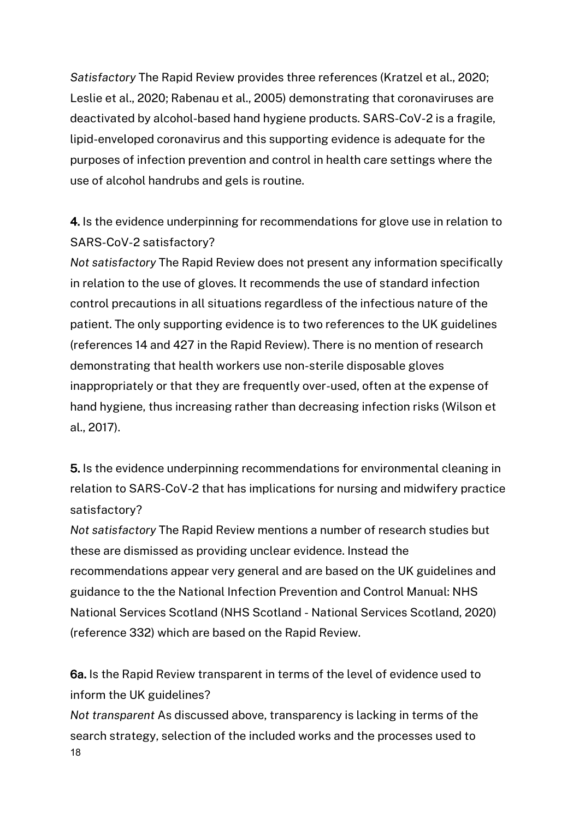*Satisfactory* The Rapid Review provides three references (Kratzel et al., 2020; Leslie et al., 2020; Rabenau et al., 2005) demonstrating that coronaviruses are deactivated by alcohol-based hand hygiene products. SARS-CoV-2 is a fragile, lipid-enveloped coronavirus and this supporting evidence is adequate for the purposes of infection prevention and control in health care settings where the use of alcohol handrubs and gels is routine.

4. Is the evidence underpinning for recommendations for glove use in relation to SARS-CoV-2 satisfactory?

*Not satisfactory* The Rapid Review does not present any information specifically in relation to the use of gloves. It recommends the use of standard infection control precautions in all situations regardless of the infectious nature of the patient. The only supporting evidence is to two references to the UK guidelines (references 14 and 427 in the Rapid Review). There is no mention of research demonstrating that health workers use non-sterile disposable gloves inappropriately or that they are frequently over-used, often at the expense of hand hygiene, thus increasing rather than decreasing infection risks (Wilson et al., 2017).

5. Is the evidence underpinning recommendations for environmental cleaning in relation to SARS-CoV-2 that has implications for nursing and midwifery practice satisfactory?

*Not satisfactory* The Rapid Review mentions a number of research studies but these are dismissed as providing unclear evidence. Instead the recommendations appear very general and are based on the UK guidelines and guidance to the the National Infection Prevention and Control Manual: NHS National Services Scotland (NHS Scotland - National Services Scotland, 2020) (reference 332) which are based on the Rapid Review.

6a. Is the Rapid Review transparent in terms of the level of evidence used to inform the UK guidelines?

18 *Not transparent* As discussed above, transparency is lacking in terms of the search strategy, selection of the included works and the processes used to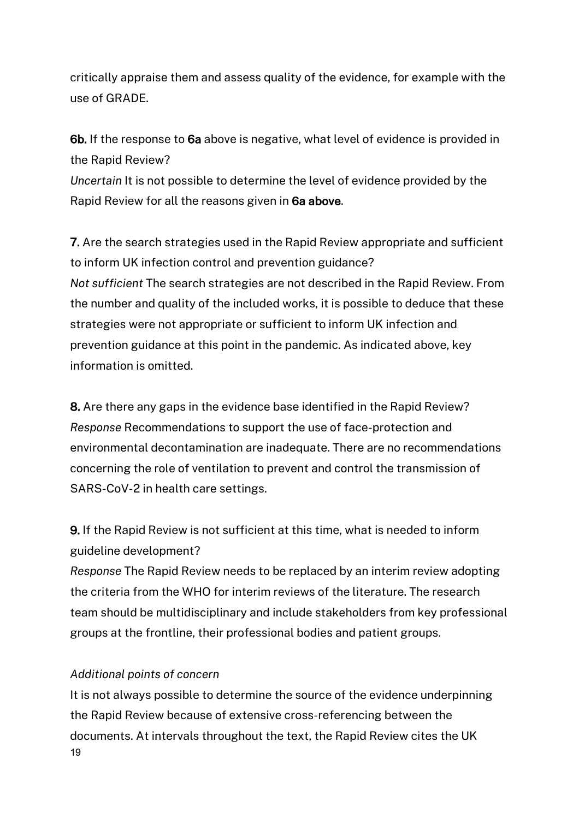critically appraise them and assess quality of the evidence, for example with the use of GRADE.

6b. If the response to 6a above is negative, what level of evidence is provided in the Rapid Review?

*Uncertain* It is not possible to determine the level of evidence provided by the Rapid Review for all the reasons given in 6a above.

7. Are the search strategies used in the Rapid Review appropriate and sufficient to inform UK infection control and prevention guidance? *Not sufficient* The search strategies are not described in the Rapid Review. From the number and quality of the included works, it is possible to deduce that these strategies were not appropriate or sufficient to inform UK infection and prevention guidance at this point in the pandemic. As indicated above, key information is omitted.

8. Are there any gaps in the evidence base identified in the Rapid Review? *Response* Recommendations to support the use of face-protection and environmental decontamination are inadequate. There are no recommendations concerning the role of ventilation to prevent and control the transmission of SARS-CoV-2 in health care settings.

9. If the Rapid Review is not sufficient at this time, what is needed to inform guideline development?

*Response* The Rapid Review needs to be replaced by an interim review adopting the criteria from the WHO for interim reviews of the literature. The research team should be multidisciplinary and include stakeholders from key professional groups at the frontline, their professional bodies and patient groups.

# *Additional points of concern*

19 It is not always possible to determine the source of the evidence underpinning the Rapid Review because of extensive cross-referencing between the documents. At intervals throughout the text, the Rapid Review cites the UK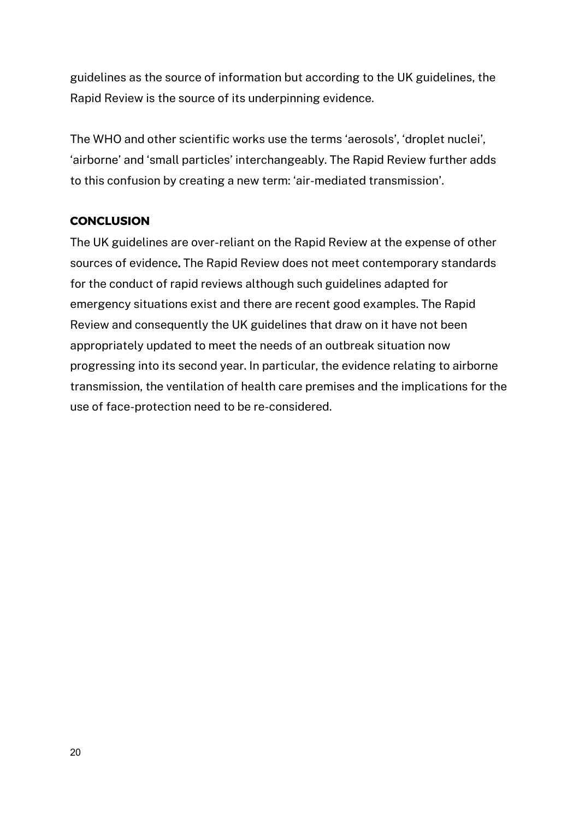guidelines as the source of information but according to the UK guidelines, the Rapid Review is the source of its underpinning evidence.

The WHO and other scientific works use the terms 'aerosols', 'droplet nuclei', 'airborne' and 'small particles' interchangeably. The Rapid Review further adds to this confusion by creating a new term: 'air-mediated transmission'.

# **CONCLUSION**

The UK guidelines are over-reliant on the Rapid Review at the expense of other sources of evidence. The Rapid Review does not meet contemporary standards for the conduct of rapid reviews although such guidelines adapted for emergency situations exist and there are recent good examples. The Rapid Review and consequently the UK guidelines that draw on it have not been appropriately updated to meet the needs of an outbreak situation now progressing into its second year. In particular, the evidence relating to airborne transmission, the ventilation of health care premises and the implications for the use of face-protection need to be re-considered.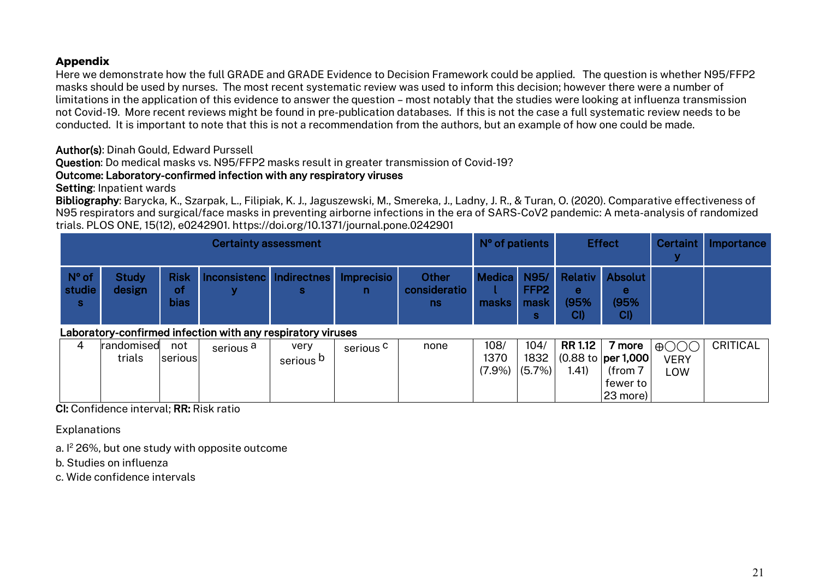### **Appendix**

Here we demonstrate how the full GRADE and GRADE Evidence to Decision Framework could be applied. The question is whether N95/FFP2 masks should be used by nurses. The most recent systematic review was used to inform this decision; however there were a number of limitations in the application of this evidence to answer the question – most notably that the studies were looking at influenza transmission not Covid-19. More recent reviews might be found in pre-publication databases. If this is not the case a full systematic review needs to be conducted. It is important to note that this is not a recommendation from the authors, but an example of how one could be made.

### Author(s): Dinah Gould, Edward Purssell

Question: Do medical masks vs. N95/FFP2 masks result in greater transmission of Covid-19?

### Outcome: Laboratory-confirmed infection with any respiratory viruses

#### Setting: Inpatient wards

Bibliography: Barycka, K., Szarpak, L., Filipiak, K. J., Jaguszewski, M., Smereka, J., Ladny, J. R., & Turan, O. (2020). Comparative effectiveness of N95 respirators and surgical/face masks in preventing airborne infections in the era of SARS-CoV2 pandemic: A meta-analysis of randomized trials. PLOS ONE, 15(12), e0242901. https://doi.org/10.1371/journal.pone.0242901

| <b>Certainty assessment</b>                                 |                        |                                  |                               |                              | N° of patients          |                              | <b>Effect</b>             |                                       | <b>Certaint</b>  | Importance                                                                 |                                       |                 |
|-------------------------------------------------------------|------------------------|----------------------------------|-------------------------------|------------------------------|-------------------------|------------------------------|---------------------------|---------------------------------------|------------------|----------------------------------------------------------------------------|---------------------------------------|-----------------|
| $N^{\circ}$ of<br>studie<br>S.                              | <b>Study</b><br>design | <b>Risk</b><br>οf<br><b>bias</b> | Inconsistenc Indirectnes<br>v | s                            | <b>Imprecisio</b><br>n. | Other<br>consideratio<br>ns. | <b>Medica</b><br>masks    | N95/<br>FFP <sub>2</sub><br>mask<br>s | е<br>(95%<br>CI) | <b>Relativ Absolut</b><br>е<br>(95%<br>CI)                                 |                                       |                 |
| Laboratory-confirmed infection with any respiratory viruses |                        |                                  |                               |                              |                         |                              |                           |                                       |                  |                                                                            |                                       |                 |
| 4                                                           | randomised<br>trials   | not<br>serious                   | serious <sup>a</sup>          | very<br>serious <sup>b</sup> | serious <sup>C</sup>    | none                         | 108/<br>1370<br>$(7.9\%)$ | 104/<br>1832<br>$(5.7\%)$             | RR 1.12<br>(.41) | 7 more<br>$(0.88 \text{ to }   \text{per } 1,000  $<br>(from 7<br>fewer to | $\bigoplus$ OOO<br><b>VERY</b><br>LOW | <b>CRITICAL</b> |

CI: Confidence interval; RR: Risk ratio

**Explanations** 

a. I <sup>2</sup> 26%, but one study with opposite outcome

b. Studies on influenza

c. Wide confidence intervals

23 more)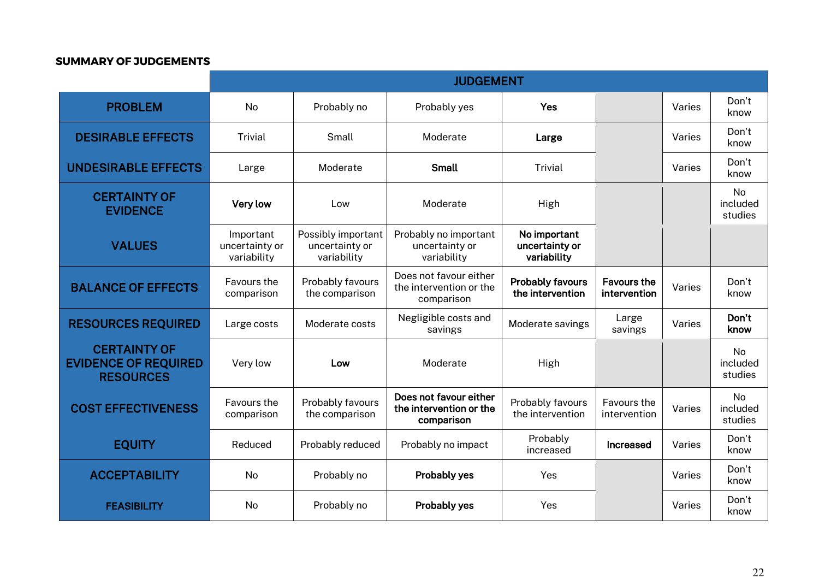#### **SUMMARY OF JUDGEMENTS**

|                                                                        | <b>JUDGEMENT</b>                           |                                                     |                                                                 |                                               |                                    |        |                                  |
|------------------------------------------------------------------------|--------------------------------------------|-----------------------------------------------------|-----------------------------------------------------------------|-----------------------------------------------|------------------------------------|--------|----------------------------------|
| <b>PROBLEM</b>                                                         | <b>No</b>                                  | Probably no                                         | Probably yes                                                    | Yes                                           |                                    | Varies | Don't<br>know                    |
| <b>DESIRABLE EFFECTS</b>                                               | <b>Trivial</b>                             | Small                                               | Moderate                                                        | Large                                         |                                    | Varies | Don't<br>know                    |
| <b>UNDESIRABLE EFFECTS</b>                                             | Large                                      | Moderate                                            | <b>Small</b>                                                    | <b>Trivial</b>                                |                                    | Varies | Don't<br>know                    |
| <b>CERTAINTY OF</b><br><b>EVIDENCE</b>                                 | Very low                                   | Low                                                 | Moderate                                                        | High                                          |                                    |        | No<br>included<br>studies        |
| <b>VALUES</b>                                                          | Important<br>uncertainty or<br>variability | Possibly important<br>uncertainty or<br>variability | Probably no important<br>uncertainty or<br>variability          | No important<br>uncertainty or<br>variability |                                    |        |                                  |
| <b>BALANCE OF EFFECTS</b>                                              | Favours the<br>comparison                  | Probably favours<br>the comparison                  | Does not favour either<br>the intervention or the<br>comparison | <b>Probably favours</b><br>the intervention   | <b>Favours the</b><br>intervention | Varies | Don't<br>know                    |
| <b>RESOURCES REQUIRED</b>                                              | Large costs                                | Moderate costs                                      | Negligible costs and<br>savings                                 | Moderate savings                              | Large<br>savings                   | Varies | Don't<br>know                    |
| <b>CERTAINTY OF</b><br><b>EVIDENCE OF REQUIRED</b><br><b>RESOURCES</b> | Very low                                   | Low                                                 | Moderate                                                        | High                                          |                                    |        | <b>No</b><br>included<br>studies |
| <b>COST EFFECTIVENESS</b>                                              | Favours the<br>comparison                  | Probably favours<br>the comparison                  | Does not favour either<br>the intervention or the<br>comparison | Probably favours<br>the intervention          | Favours the<br>intervention        | Varies | <b>No</b><br>included<br>studies |
| <b>EQUITY</b>                                                          | Reduced                                    | Probably reduced                                    | Probably no impact                                              | Probably<br>increased                         | <b>Increased</b>                   | Varies | Don't<br>know                    |
| <b>ACCEPTABILITY</b>                                                   | No                                         | Probably no                                         | Probably yes                                                    | Yes                                           |                                    | Varies | Don't<br>know                    |
| <b>FEASIBILITY</b>                                                     | <b>No</b>                                  | Probably no                                         | Probably yes                                                    | Yes                                           |                                    | Varies | Don't<br>know                    |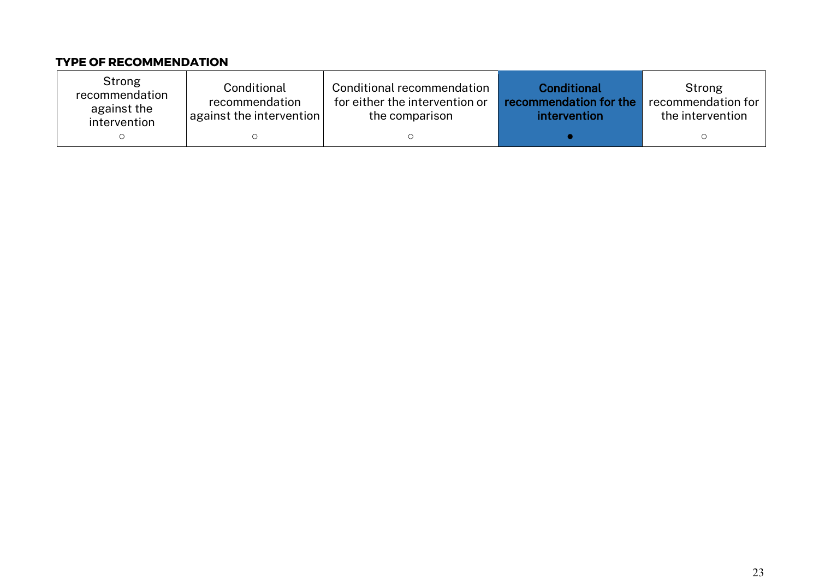# **TYPE OF RECOMMENDATION**

| Strong<br>recommendation<br>against the<br>intervention | Conditional<br>recommendation<br>$\vert$ against the intervention $\vert$ | Conditional recommendation<br>for either the intervention or<br>the comparison | Conditional<br>recommendation for the<br>intervention | Strong<br>recommendation for<br>the intervention |
|---------------------------------------------------------|---------------------------------------------------------------------------|--------------------------------------------------------------------------------|-------------------------------------------------------|--------------------------------------------------|
|                                                         |                                                                           |                                                                                |                                                       |                                                  |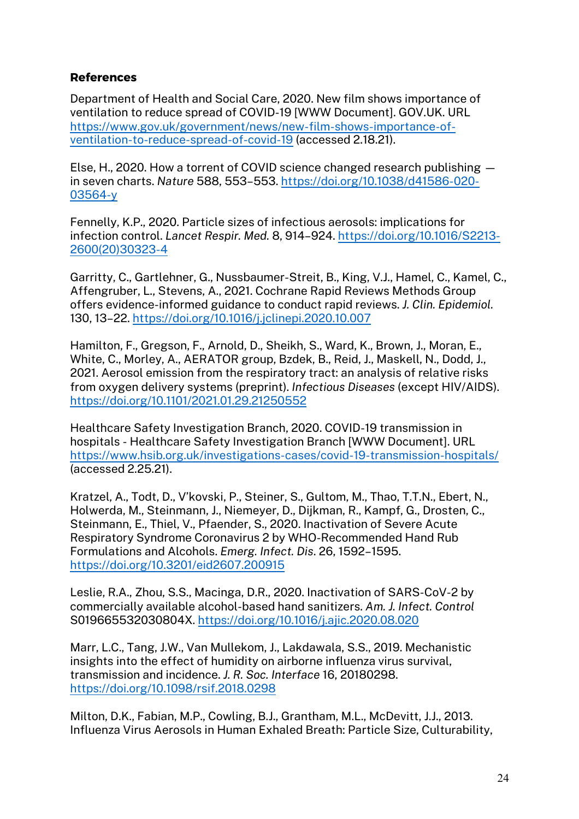# **References**

Department of Health and Social Care, 2020. New film shows importance of ventilation to reduce spread of COVID-19 [WWW Document]. GOV.UK. URL https://www.gov.uk/government/news/new-film-shows-importance-ofventilation-to-reduce-spread-of-covid-19 (accessed 2.18.21).

Else, H., 2020. How a torrent of COVID science changed research publishing in seven charts. *Nature* 588, 553–553. https://doi.org/10.1038/d41586-020- 03564-y

Fennelly, K.P., 2020. Particle sizes of infectious aerosols: implications for infection control. *Lancet Respir. Med.* 8, 914–924. https://doi.org/10.1016/S2213- 2600(20)30323-4

Garritty, C., Gartlehner, G., Nussbaumer-Streit, B., King, V.J., Hamel, C., Kamel, C., Affengruber, L., Stevens, A., 2021. Cochrane Rapid Reviews Methods Group offers evidence-informed guidance to conduct rapid reviews. *J. Clin. Epidemiol.* 130, 13–22. https://doi.org/10.1016/j.jclinepi.2020.10.007

Hamilton, F., Gregson, F., Arnold, D., Sheikh, S., Ward, K., Brown, J., Moran, E., White, C., Morley, A., AERATOR group, Bzdek, B., Reid, J., Maskell, N., Dodd, J., 2021. Aerosol emission from the respiratory tract: an analysis of relative risks from oxygen delivery systems (preprint). *Infectious Diseases* (except HIV/AIDS). https://doi.org/10.1101/2021.01.29.21250552

Healthcare Safety Investigation Branch, 2020. COVID-19 transmission in hospitals - Healthcare Safety Investigation Branch [WWW Document]. URL https://www.hsib.org.uk/investigations-cases/covid-19-transmission-hospitals/ (accessed 2.25.21).

Kratzel, A., Todt, D., V'kovski, P., Steiner, S., Gultom, M., Thao, T.T.N., Ebert, N., Holwerda, M., Steinmann, J., Niemeyer, D., Dijkman, R., Kampf, G., Drosten, C., Steinmann, E., Thiel, V., Pfaender, S., 2020. Inactivation of Severe Acute Respiratory Syndrome Coronavirus 2 by WHO-Recommended Hand Rub Formulations and Alcohols. *Emerg. Infect. Dis*. 26, 1592–1595. https://doi.org/10.3201/eid2607.200915

Leslie, R.A., Zhou, S.S., Macinga, D.R., 2020. Inactivation of SARS-CoV-2 by commercially available alcohol-based hand sanitizers. *Am. J. Infect. Control* S019665532030804X. https://doi.org/10.1016/j.ajic.2020.08.020

Marr, L.C., Tang, J.W., Van Mullekom, J., Lakdawala, S.S., 2019. Mechanistic insights into the effect of humidity on airborne influenza virus survival, transmission and incidence. *J. R. Soc. Interface* 16, 20180298. https://doi.org/10.1098/rsif.2018.0298

Milton, D.K., Fabian, M.P., Cowling, B.J., Grantham, M.L., McDevitt, J.J., 2013. Influenza Virus Aerosols in Human Exhaled Breath: Particle Size, Culturability,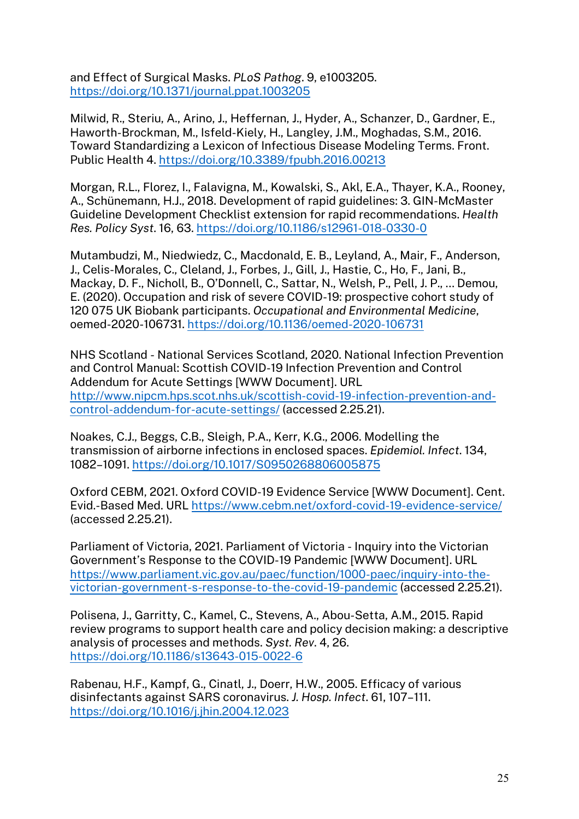and Effect of Surgical Masks. *PLoS Pathog*. 9, e1003205. https://doi.org/10.1371/journal.ppat.1003205

Milwid, R., Steriu, A., Arino, J., Heffernan, J., Hyder, A., Schanzer, D., Gardner, E., Haworth-Brockman, M., Isfeld-Kiely, H., Langley, J.M., Moghadas, S.M., 2016. Toward Standardizing a Lexicon of Infectious Disease Modeling Terms. Front. Public Health 4. https://doi.org/10.3389/fpubh.2016.00213

Morgan, R.L., Florez, I., Falavigna, M., Kowalski, S., Akl, E.A., Thayer, K.A., Rooney, A., Schünemann, H.J., 2018. Development of rapid guidelines: 3. GIN-McMaster Guideline Development Checklist extension for rapid recommendations. *Health Res. Policy Syst*. 16, 63. https://doi.org/10.1186/s12961-018-0330-0

Mutambudzi, M., Niedwiedz, C., Macdonald, E. B., Leyland, A., Mair, F., Anderson, J., Celis-Morales, C., Cleland, J., Forbes, J., Gill, J., Hastie, C., Ho, F., Jani, B., Mackay, D. F., Nicholl, B., O'Donnell, C., Sattar, N., Welsh, P., Pell, J. P., … Demou, E. (2020). Occupation and risk of severe COVID-19: prospective cohort study of 120 075 UK Biobank participants. *Occupational and Environmental Medicine*, oemed-2020-106731. https://doi.org/10.1136/oemed-2020-106731

NHS Scotland - National Services Scotland, 2020. National Infection Prevention and Control Manual: Scottish COVID-19 Infection Prevention and Control Addendum for Acute Settings [WWW Document]. URL http://www.nipcm.hps.scot.nhs.uk/scottish-covid-19-infection-prevention-andcontrol-addendum-for-acute-settings/ (accessed 2.25.21).

Noakes, C.J., Beggs, C.B., Sleigh, P.A., Kerr, K.G., 2006. Modelling the transmission of airborne infections in enclosed spaces. *Epidemiol. Infect*. 134, 1082–1091. https://doi.org/10.1017/S0950268806005875

Oxford CEBM, 2021. Oxford COVID-19 Evidence Service [WWW Document]. Cent. Evid.-Based Med. URL https://www.cebm.net/oxford-covid-19-evidence-service/ (accessed 2.25.21).

Parliament of Victoria, 2021. Parliament of Victoria - Inquiry into the Victorian Government's Response to the COVID-19 Pandemic [WWW Document]. URL https://www.parliament.vic.gov.au/paec/function/1000-paec/inquiry-into-thevictorian-government-s-response-to-the-covid-19-pandemic (accessed 2.25.21).

Polisena, J., Garritty, C., Kamel, C., Stevens, A., Abou-Setta, A.M., 2015. Rapid review programs to support health care and policy decision making: a descriptive analysis of processes and methods. *Syst. Rev*. 4, 26. https://doi.org/10.1186/s13643-015-0022-6

Rabenau, H.F., Kampf, G., Cinatl, J., Doerr, H.W., 2005. Efficacy of various disinfectants against SARS coronavirus. *J. Hosp. Infect*. 61, 107–111. https://doi.org/10.1016/j.jhin.2004.12.023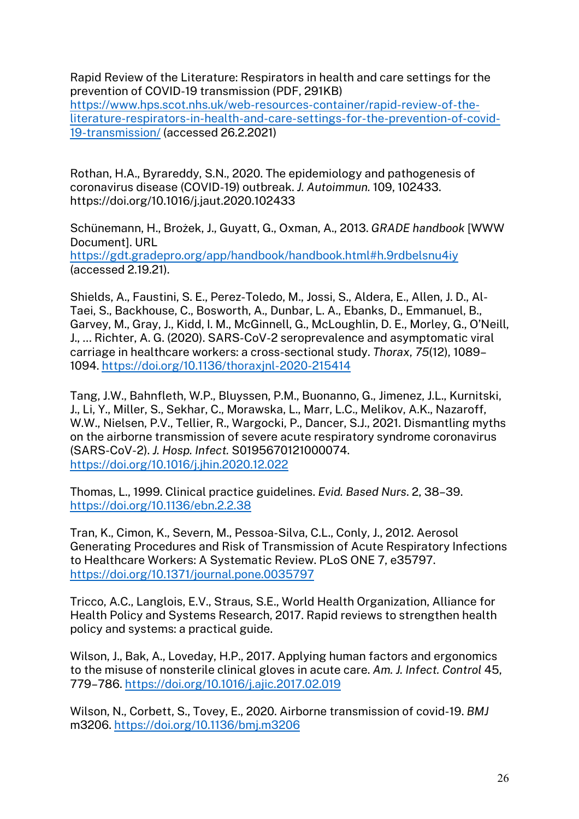Rapid Review of the Literature: Respirators in health and care settings for the prevention of COVID-19 transmission (PDF, 291KB) https://www.hps.scot.nhs.uk/web-resources-container/rapid-review-of-theliterature-respirators-in-health-and-care-settings-for-the-prevention-of-covid-19-transmission/ (accessed 26.2.2021)

Rothan, H.A., Byrareddy, S.N., 2020. The epidemiology and pathogenesis of coronavirus disease (COVID-19) outbreak. *J. Autoimmun.* 109, 102433. https://doi.org/10.1016/j.jaut.2020.102433

Schünemann, H., Brożek, J., Guyatt, G., Oxman, A., 2013. *GRADE handbook* [WWW Document]. URL https://gdt.gradepro.org/app/handbook/handbook.html#h.9rdbelsnu4iy (accessed 2.19.21).

Shields, A., Faustini, S. E., Perez-Toledo, M., Jossi, S., Aldera, E., Allen, J. D., Al-Taei, S., Backhouse, C., Bosworth, A., Dunbar, L. A., Ebanks, D., Emmanuel, B., Garvey, M., Gray, J., Kidd, I. M., McGinnell, G., McLoughlin, D. E., Morley, G., O'Neill, J., … Richter, A. G. (2020). SARS-CoV-2 seroprevalence and asymptomatic viral carriage in healthcare workers: a cross-sectional study. *Thorax*, *75*(12), 1089– 1094. https://doi.org/10.1136/thoraxjnl-2020-215414

Tang, J.W., Bahnfleth, W.P., Bluyssen, P.M., Buonanno, G., Jimenez, J.L., Kurnitski, J., Li, Y., Miller, S., Sekhar, C., Morawska, L., Marr, L.C., Melikov, A.K., Nazaroff, W.W., Nielsen, P.V., Tellier, R., Wargocki, P., Dancer, S.J., 2021. Dismantling myths on the airborne transmission of severe acute respiratory syndrome coronavirus (SARS-CoV-2). *J. Hosp. Infect.* S0195670121000074. https://doi.org/10.1016/j.jhin.2020.12.022

Thomas, L., 1999. Clinical practice guidelines. *Evid. Based Nurs*. 2, 38–39. https://doi.org/10.1136/ebn.2.2.38

Tran, K., Cimon, K., Severn, M., Pessoa-Silva, C.L., Conly, J., 2012. Aerosol Generating Procedures and Risk of Transmission of Acute Respiratory Infections to Healthcare Workers: A Systematic Review. PLoS ONE 7, e35797. https://doi.org/10.1371/journal.pone.0035797

Tricco, A.C., Langlois, E.V., Straus, S.E., World Health Organization, Alliance for Health Policy and Systems Research, 2017. Rapid reviews to strengthen health policy and systems: a practical guide.

Wilson, J., Bak, A., Loveday, H.P., 2017. Applying human factors and ergonomics to the misuse of nonsterile clinical gloves in acute care. *Am. J. Infect. Control* 45, 779–786. https://doi.org/10.1016/j.ajic.2017.02.019

Wilson, N., Corbett, S., Tovey, E., 2020. Airborne transmission of covid-19. *BMJ*  m3206. https://doi.org/10.1136/bmj.m3206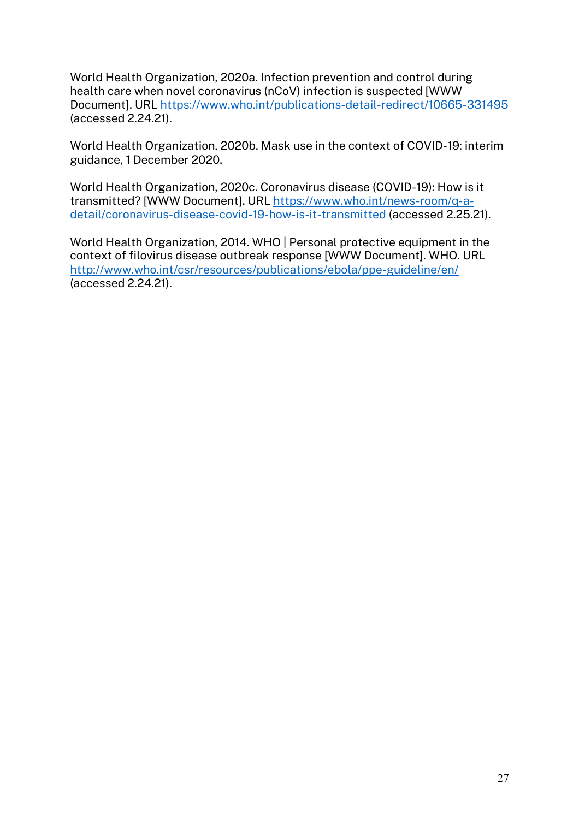World Health Organization, 2020a. Infection prevention and control during health care when novel coronavirus (nCoV) infection is suspected [WWW Document]. URL https://www.who.int/publications-detail-redirect/10665-331495 (accessed 2.24.21).

World Health Organization, 2020b. Mask use in the context of COVID-19: interim guidance, 1 December 2020.

World Health Organization, 2020c. Coronavirus disease (COVID-19): How is it transmitted? [WWW Document]. URL https://www.who.int/news-room/q-adetail/coronavirus-disease-covid-19-how-is-it-transmitted (accessed 2.25.21).

World Health Organization, 2014. WHO | Personal protective equipment in the context of filovirus disease outbreak response [WWW Document]. WHO. URL http://www.who.int/csr/resources/publications/ebola/ppe-guideline/en/ (accessed 2.24.21).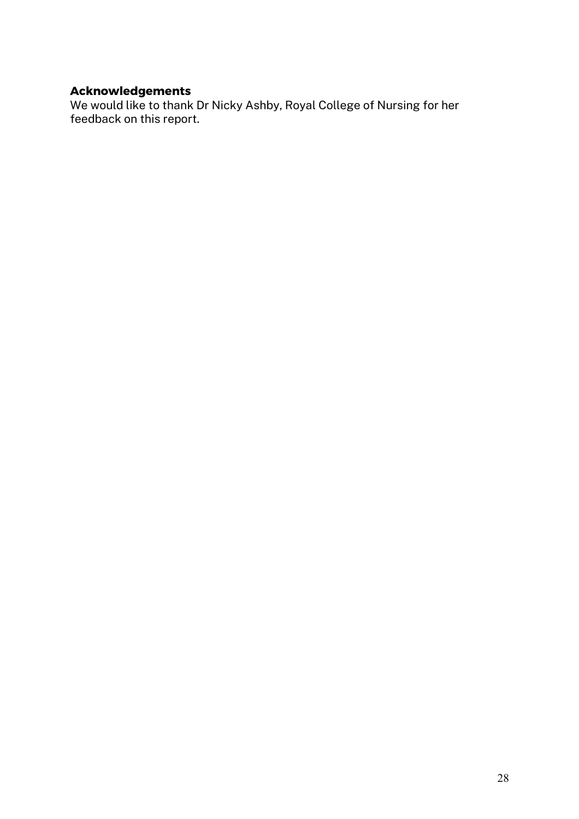# **Acknowledgements**

We would like to thank Dr Nicky Ashby, Royal College of Nursing for her feedback on this report.